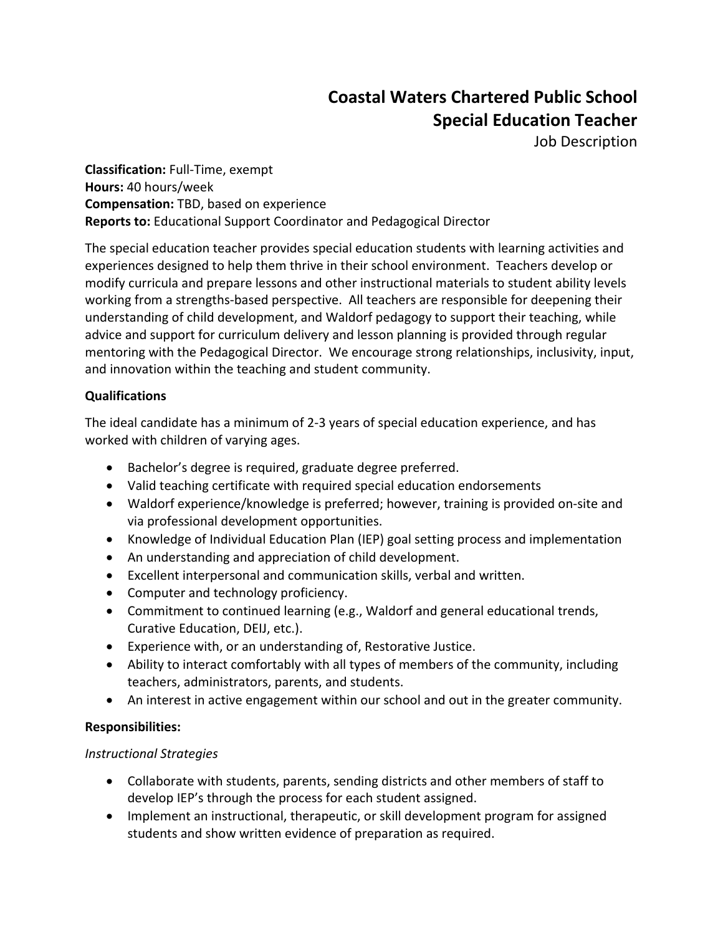# **Coastal Waters Chartered Public School Special Education Teacher**

Job Description

**Classification:** Full-Time, exempt **Hours:** 40 hours/week **Compensation:** TBD, based on experience **Reports to:** Educational Support Coordinator and Pedagogical Director

The special education teacher provides special education students with learning activities and experiences designed to help them thrive in their school environment. Teachers develop or modify curricula and prepare lessons and other instructional materials to student ability levels working from a strengths-based perspective. All teachers are responsible for deepening their understanding of child development, and Waldorf pedagogy to support their teaching, while advice and support for curriculum delivery and lesson planning is provided through regular mentoring with the Pedagogical Director. We encourage strong relationships, inclusivity, input, and innovation within the teaching and student community.

## **Qualifications**

The ideal candidate has a minimum of 2-3 years of special education experience, and has worked with children of varying ages.

- Bachelor's degree is required, graduate degree preferred.
- Valid teaching certificate with required special education endorsements
- Waldorf experience/knowledge is preferred; however, training is provided on-site and via professional development opportunities.
- Knowledge of Individual Education Plan (IEP) goal setting process and implementation
- An understanding and appreciation of child development.
- Excellent interpersonal and communication skills, verbal and written.
- Computer and technology proficiency.
- Commitment to continued learning (e.g., Waldorf and general educational trends, Curative Education, DEIJ, etc.).
- Experience with, or an understanding of, Restorative Justice.
- Ability to interact comfortably with all types of members of the community, including teachers, administrators, parents, and students.
- An interest in active engagement within our school and out in the greater community.

### **Responsibilities:**

### *Instructional Strategies*

- Collaborate with students, parents, sending districts and other members of staff to develop IEP's through the process for each student assigned.
- Implement an instructional, therapeutic, or skill development program for assigned students and show written evidence of preparation as required.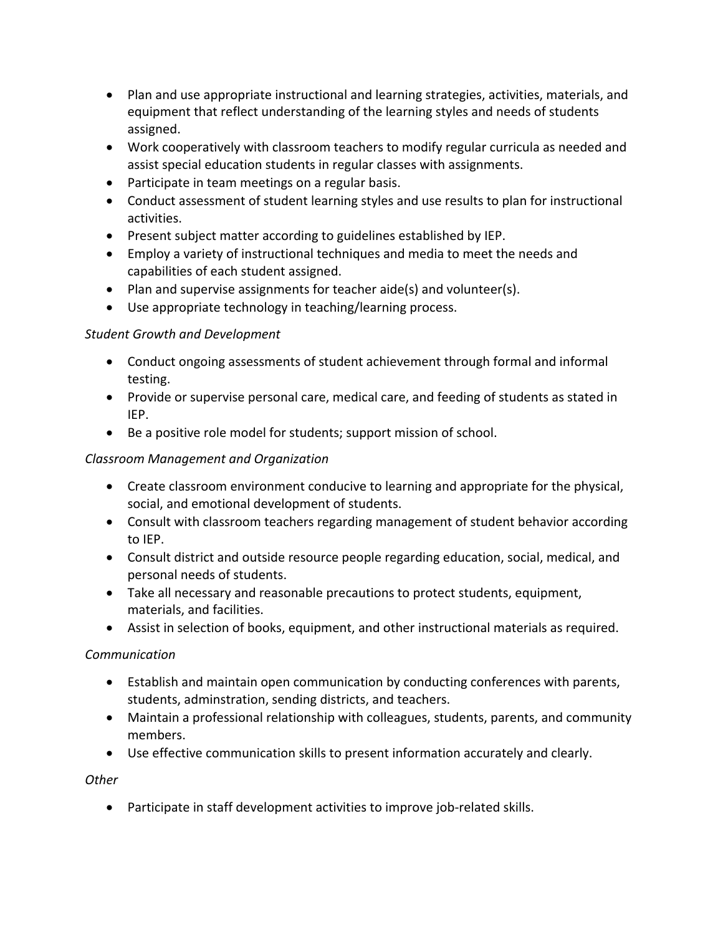- Plan and use appropriate instructional and learning strategies, activities, materials, and equipment that reflect understanding of the learning styles and needs of students assigned.
- Work cooperatively with classroom teachers to modify regular curricula as needed and assist special education students in regular classes with assignments.
- Participate in team meetings on a regular basis.
- Conduct assessment of student learning styles and use results to plan for instructional activities.
- Present subject matter according to guidelines established by IEP.
- Employ a variety of instructional techniques and media to meet the needs and capabilities of each student assigned.
- Plan and supervise assignments for teacher aide(s) and volunteer(s).
- Use appropriate technology in teaching/learning process.

### *Student Growth and Development*

- Conduct ongoing assessments of student achievement through formal and informal testing.
- Provide or supervise personal care, medical care, and feeding of students as stated in IEP.
- Be a positive role model for students; support mission of school.

#### *Classroom Management and Organization*

- Create classroom environment conducive to learning and appropriate for the physical, social, and emotional development of students.
- Consult with classroom teachers regarding management of student behavior according to IEP.
- Consult district and outside resource people regarding education, social, medical, and personal needs of students.
- Take all necessary and reasonable precautions to protect students, equipment, materials, and facilities.
- Assist in selection of books, equipment, and other instructional materials as required.

### *Communication*

- Establish and maintain open communication by conducting conferences with parents, students, adminstration, sending districts, and teachers.
- Maintain a professional relationship with colleagues, students, parents, and community members.
- Use effective communication skills to present information accurately and clearly.

#### *Other*

• Participate in staff development activities to improve job-related skills.